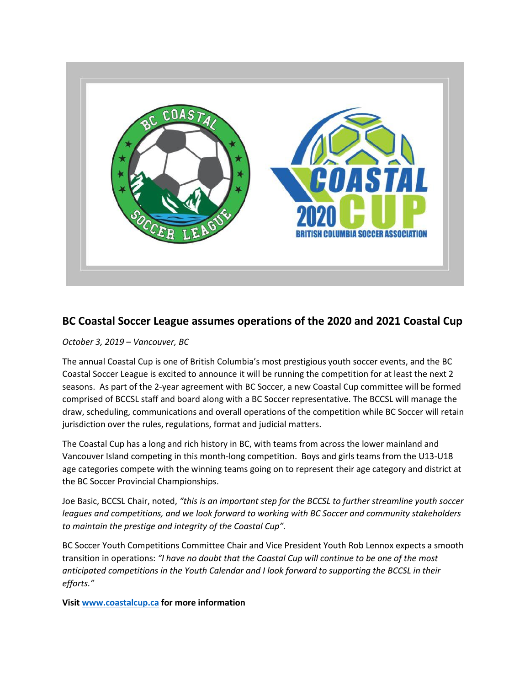

## **BC Coastal Soccer League assumes operations of the 2020 and 2021 Coastal Cup**

*October 3, 2019 – Vancouver, BC*

The annual Coastal Cup is one of British Columbia's most prestigious youth soccer events, and the BC Coastal Soccer League is excited to announce it will be running the competition for at least the next 2 seasons. As part of the 2-year agreement with BC Soccer, a new Coastal Cup committee will be formed comprised of BCCSL staff and board along with a BC Soccer representative. The BCCSL will manage the draw, scheduling, communications and overall operations of the competition while BC Soccer will retain jurisdiction over the rules, regulations, format and judicial matters.

The Coastal Cup has a long and rich history in BC, with teams from across the lower mainland and Vancouver Island competing in this month-long competition. Boys and girls teams from the U13-U18 age categories compete with the winning teams going on to represent their age category and district at the BC Soccer Provincial Championships.

Joe Basic, BCCSL Chair, noted, *"this is an important step for the BCCSL to further streamline youth soccer leagues and competitions, and we look forward to working with BC Soccer and community stakeholders to maintain the prestige and integrity of the Coastal Cup".*

BC Soccer Youth Competitions Committee Chair and Vice President Youth Rob Lennox expects a smooth transition in operations: *"I have no doubt that the Coastal Cup will continue to be one of the most anticipated competitions in the Youth Calendar and I look forward to supporting the BCCSL in their efforts."*

**Visi[t www.coastalcup.ca](http://www.coastalcup.ca/) for more information**